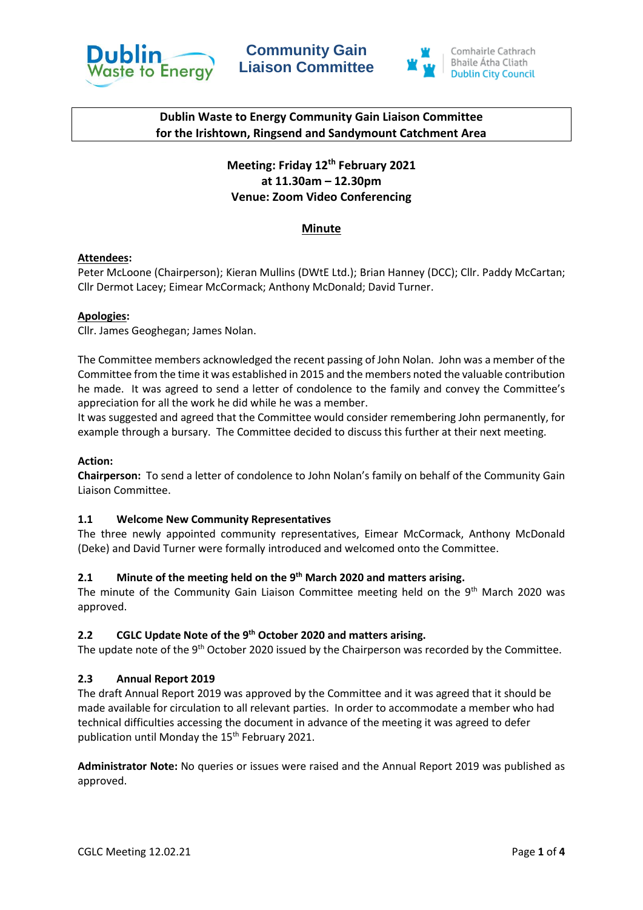





# **Dublin Waste to Energy Community Gain Liaison Committee for the Irishtown, Ringsend and Sandymount Catchment Area**

# **Meeting: Friday 12th February 2021 at 11.30am – 12.30pm Venue: Zoom Video Conferencing**

# **Minute**

### **Attendees:**

Peter McLoone (Chairperson); Kieran Mullins (DWtE Ltd.); Brian Hanney (DCC); Cllr. Paddy McCartan; Cllr Dermot Lacey; Eimear McCormack; Anthony McDonald; David Turner.

#### **Apologies:**

Cllr. James Geoghegan; James Nolan.

The Committee members acknowledged the recent passing of John Nolan. John was a member of the Committee from the time it was established in 2015 and the members noted the valuable contribution he made. It was agreed to send a letter of condolence to the family and convey the Committee's appreciation for all the work he did while he was a member.

It was suggested and agreed that the Committee would consider remembering John permanently, for example through a bursary. The Committee decided to discuss this further at their next meeting.

#### **Action:**

**Chairperson:** To send a letter of condolence to John Nolan's family on behalf of the Community Gain Liaison Committee.

### **1.1 Welcome New Community Representatives**

The three newly appointed community representatives, Eimear McCormack, Anthony McDonald (Deke) and David Turner were formally introduced and welcomed onto the Committee.

# **2.1 Minute of the meeting held on the 9 th March 2020 and matters arising.**

The minute of the Community Gain Liaison Committee meeting held on the 9<sup>th</sup> March 2020 was approved.

### **2.2 CGLC Update Note of the 9th October 2020 and matters arising.**

The update note of the 9<sup>th</sup> October 2020 issued by the Chairperson was recorded by the Committee.

### **2.3 Annual Report 2019**

The draft Annual Report 2019 was approved by the Committee and it was agreed that it should be made available for circulation to all relevant parties. In order to accommodate a member who had technical difficulties accessing the document in advance of the meeting it was agreed to defer publication until Monday the 15<sup>th</sup> February 2021.

**Administrator Note:** No queries or issues were raised and the Annual Report 2019 was published as approved.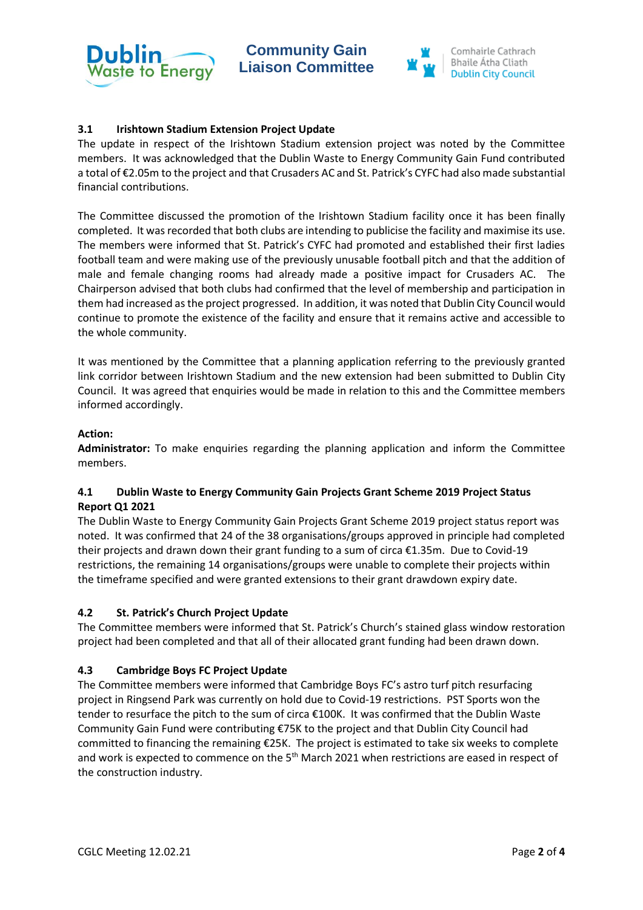



## **3.1 Irishtown Stadium Extension Project Update**

The update in respect of the Irishtown Stadium extension project was noted by the Committee members. It was acknowledged that the Dublin Waste to Energy Community Gain Fund contributed a total of €2.05m to the project and that Crusaders AC and St. Patrick's CYFC had also made substantial financial contributions.

The Committee discussed the promotion of the Irishtown Stadium facility once it has been finally completed. It was recorded that both clubs are intending to publicise the facility and maximise its use. The members were informed that St. Patrick's CYFC had promoted and established their first ladies football team and were making use of the previously unusable football pitch and that the addition of male and female changing rooms had already made a positive impact for Crusaders AC. The Chairperson advised that both clubs had confirmed that the level of membership and participation in them had increased as the project progressed. In addition, it was noted that Dublin City Council would continue to promote the existence of the facility and ensure that it remains active and accessible to the whole community.

It was mentioned by the Committee that a planning application referring to the previously granted link corridor between Irishtown Stadium and the new extension had been submitted to Dublin City Council. It was agreed that enquiries would be made in relation to this and the Committee members informed accordingly.

### **Action:**

**Administrator:** To make enquiries regarding the planning application and inform the Committee members.

### **4.1 Dublin Waste to Energy Community Gain Projects Grant Scheme 2019 Project Status Report Q1 2021**

The Dublin Waste to Energy Community Gain Projects Grant Scheme 2019 project status report was noted. It was confirmed that 24 of the 38 organisations/groups approved in principle had completed their projects and drawn down their grant funding to a sum of circa €1.35m. Due to Covid-19 restrictions, the remaining 14 organisations/groups were unable to complete their projects within the timeframe specified and were granted extensions to their grant drawdown expiry date.

### **4.2 St. Patrick's Church Project Update**

The Committee members were informed that St. Patrick's Church's stained glass window restoration project had been completed and that all of their allocated grant funding had been drawn down.

### **4.3 Cambridge Boys FC Project Update**

The Committee members were informed that Cambridge Boys FC's astro turf pitch resurfacing project in Ringsend Park was currently on hold due to Covid-19 restrictions. PST Sports won the tender to resurface the pitch to the sum of circa €100K. It was confirmed that the Dublin Waste Community Gain Fund were contributing €75K to the project and that Dublin City Council had committed to financing the remaining €25K. The project is estimated to take six weeks to complete and work is expected to commence on the 5<sup>th</sup> March 2021 when restrictions are eased in respect of the construction industry.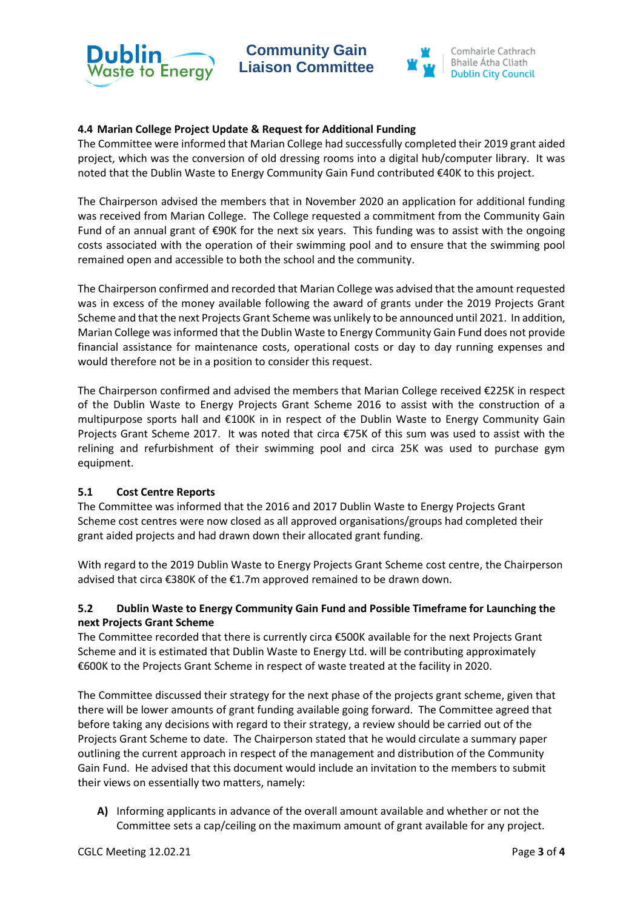

**Community Gain Liaison Committee** 



## **4.4 Marian College Project Update & Request for Additional Funding**

The Committee were informed that Marian College had successfully completed their 2019 grant aided project, which was the conversion of old dressing rooms into a digital hub/computer library. It was noted that the Dublin Waste to Energy Community Gain Fund contributed €40K to this project.

The Chairperson advised the members that in November 2020 an application for additional funding was received from Marian College. The College requested a commitment from the Community Gain Fund of an annual grant of €90K for the next six years. This funding was to assist with the ongoing costs associated with the operation of their swimming pool and to ensure that the swimming pool remained open and accessible to both the school and the community.

The Chairperson confirmed and recorded that Marian College was advised that the amount requested was in excess of the money available following the award of grants under the 2019 Projects Grant Scheme and that the next Projects Grant Scheme was unlikely to be announced until 2021. In addition, Marian College was informed that the Dublin Waste to Energy Community Gain Fund does not provide financial assistance for maintenance costs, operational costs or day to day running expenses and would therefore not be in a position to consider this request.

The Chairperson confirmed and advised the members that Marian College received €225K in respect of the Dublin Waste to Energy Projects Grant Scheme 2016 to assist with the construction of a multipurpose sports hall and €100K in in respect of the Dublin Waste to Energy Community Gain Projects Grant Scheme 2017. It was noted that circa €75K of this sum was used to assist with the relining and refurbishment of their swimming pool and circa 25K was used to purchase gym equipment.

### **5.1 Cost Centre Reports**

The Committee was informed that the 2016 and 2017 Dublin Waste to Energy Projects Grant Scheme cost centres were now closed as all approved organisations/groups had completed their grant aided projects and had drawn down their allocated grant funding.

With regard to the 2019 Dublin Waste to Energy Projects Grant Scheme cost centre, the Chairperson advised that circa €380K of the €1.7m approved remained to be drawn down.

# **5.2 Dublin Waste to Energy Community Gain Fund and Possible Timeframe for Launching the next Projects Grant Scheme**

The Committee recorded that there is currently circa €500K available for the next Projects Grant Scheme and it is estimated that Dublin Waste to Energy Ltd. will be contributing approximately €600K to the Projects Grant Scheme in respect of waste treated at the facility in 2020.

The Committee discussed their strategy for the next phase of the projects grant scheme, given that there will be lower amounts of grant funding available going forward. The Committee agreed that before taking any decisions with regard to their strategy, a review should be carried out of the Projects Grant Scheme to date. The Chairperson stated that he would circulate a summary paper outlining the current approach in respect of the management and distribution of the Community Gain Fund. He advised that this document would include an invitation to the members to submit their views on essentially two matters, namely:

**A)** Informing applicants in advance of the overall amount available and whether or not the Committee sets a cap/ceiling on the maximum amount of grant available for any project.